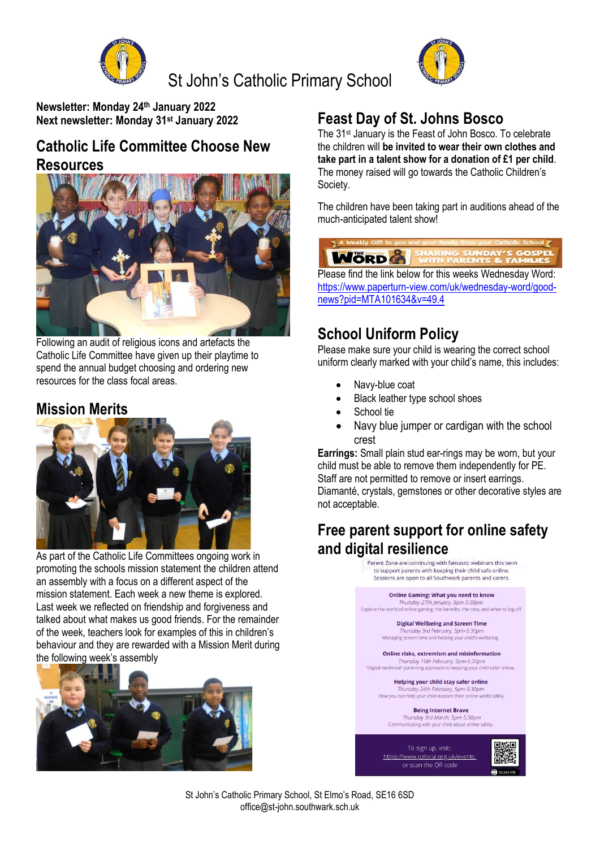

St John's Catholic Primary School



**Newsletter: Monday 24th January 2022 Next newsletter: Monday 31st January 2022**

## **Catholic Life Committee Choose New Resources**



Following an audit of religious icons and artefacts the Catholic Life Committee have given up their playtime to spend the annual budget choosing and ordering new resources for the class focal areas.

## **Mission Merits**



As part of the Catholic Life Committees ongoing work in promoting the schools mission statement the children attend an assembly with a focus on a different aspect of the mission statement. Each week a new theme is explored. Last week we reflected on friendship and forgiveness and talked about what makes us good friends. For the remainder of the week, teachers look for examples of this in children's behaviour and they are rewarded with a Mission Merit during the following week's assembly



# **Feast Day of St. Johns Bosco**

The 31st January is the Feast of John Bosco. To celebrate the children will **be invited to wear their own clothes and take part in a talent show for a donation of £1 per child**. The money raised will go towards the Catholic Children's Society.

The children have been taking part in auditions ahead of the much-anticipated talent show!



Please find the link below for this weeks Wednesday Word: [https://www.paperturn-view.com/uk/wednesday-word/good](https://www.paperturn-view.com/uk/wednesday-word/good-news?pid=MTA101634&v=49.4)[news?pid=MTA101634&v=49.4](https://www.paperturn-view.com/uk/wednesday-word/good-news?pid=MTA101634&v=49.4)

# **School Uniform Policy**

Please make sure your child is wearing the correct school uniform clearly marked with your child's name, this includes:

- Navy-blue coat
- Black leather type school shoes
- School tie
- Navy blue jumper or cardigan with the school crest

**Earrings:** Small plain stud ear-rings may be worn, but your child must be able to remove them independently for PE. Staff are not permitted to remove or insert earrings. Diamanté, crystals, gemstones or other decorative styles are not acceptable.

## **Free parent support for online safety and digital resilience**



St John's Catholic Primary School, St Elmo's Road, SE16 6SD office@st-john.southwark.sch.uk